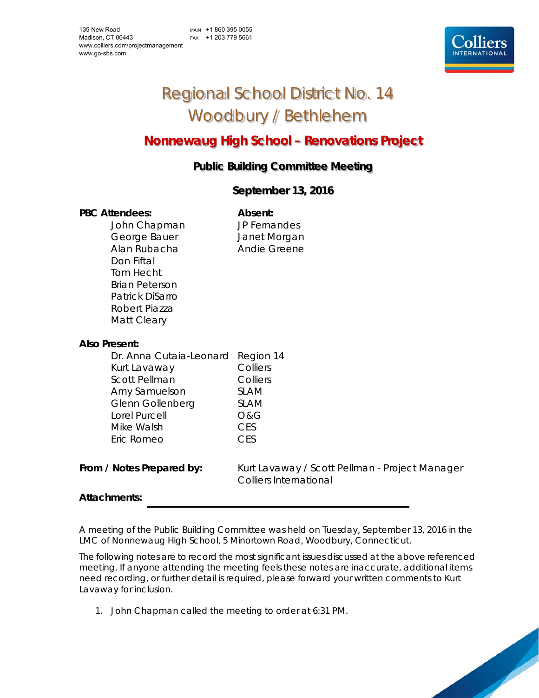MAIN +1 860 395 0055 FAX +1 203 779 5661



# Regional School District No. 14 Woodbury / Bethlehem

# **Nonnewaug High School – Renovations Project**

# **Public Building Committee Meeting**

# **September 13, 2016**

# PBC Attendees: **Absent: Absent:**

John Chapman JP Fernandes George Bauer **Janet Morgan** Alan Rubacha **Andie Greene** Don Fiftal Tom Hecht Brian Peterson Patrick DiSarro Robert Piazza Matt Cleary

# **Also Present:**

| Dr. Anna Cutaia-Leonard Region 14<br>Kurt Lavaway | Colliers    |
|---------------------------------------------------|-------------|
| <b>Scott Pellman</b>                              | Colliers    |
| Amy Samuelson                                     | <b>SLAM</b> |
| <b>Glenn Gollenberg</b>                           | <b>SLAM</b> |
| Lorel Purcell                                     | 0&G         |
| Mike Walsh                                        | <b>CES</b>  |
| Eric Romeo                                        | CES         |
|                                                   |             |

From / Notes Prepared by: Kurt Lavaway / Scott Pellman - Project Manager Colliers International

# **Attachments:**

A meeting of the Public Building Committee was held on Tuesday, September 13, 2016 in the LMC of Nonnewaug High School, 5 Minortown Road, Woodbury, Connecticut.

The following notes are to record the most significant issues discussed at the above referenced meeting. If anyone attending the meeting feels these notes are inaccurate, additional items need recording, or further detail is required, please forward your written comments to Kurt Lavaway for inclusion.

1. John Chapman called the meeting to order at 6:31 PM.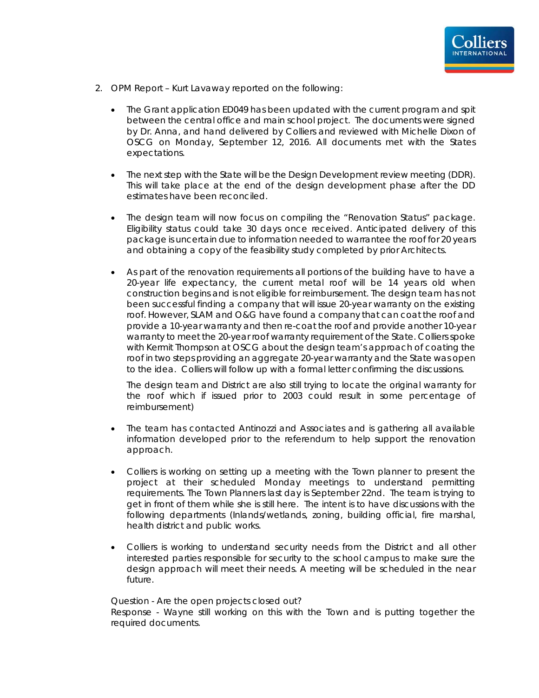

- 2. OPM Report Kurt Lavaway reported on the following:
	- The Grant application ED049 has been updated with the current program and spit between the central office and main school project. The documents were signed by Dr. Anna, and hand delivered by Colliers and reviewed with Michelle Dixon of OSCG on Monday, September 12, 2016. All documents met with the States expectations.
	- The next step with the State will be the Design Development review meeting (DDR). This will take place at the end of the design development phase after the DD estimates have been reconciled.
	- The design team will now focus on compiling the "Renovation Status" package. Eligibility status could take 30 days once received. Anticipated delivery of this package is uncertain due to information needed to warrantee the roof for 20 years and obtaining a copy of the feasibility study completed by prior Architects.
	- As part of the renovation requirements all portions of the building have to have a 20-year life expectancy, the current metal roof will be 14 years old when construction begins and is not eligible for reimbursement. The design team has not been successful finding a company that will issue 20-year warranty on the existing roof. However, SLAM and O&G have found a company that can coat the roof and provide a 10-year warranty and then re-coat the roof and provide another 10-year warranty to meet the 20-year roof warranty requirement of the State. Colliers spoke with Kermit Thompson at OSCG about the design team's approach of coating the roof in two steps providing an aggregate 20-year warranty and the State was open to the idea. Colliers will follow up with a formal letter confirming the discussions.

The design team and District are also still trying to locate the original warranty for the roof which if issued prior to 2003 could result in some percentage of reimbursement)

- The team has contacted Antinozzi and Associates and is gathering all available information developed prior to the referendum to help support the renovation approach.
- Colliers is working on setting up a meeting with the Town planner to present the project at their scheduled Monday meetings to understand permitting requirements. The Town Planners last day is September 22nd. The team is trying to get in front of them while she is still here. The intent is to have discussions with the following departments (Inlands/wetlands, zoning, building official, fire marshal, health district and public works.
- Colliers is working to understand security needs from the District and all other interested parties responsible for security to the school campus to make sure the design approach will meet their needs. A meeting will be scheduled in the near future.

Question - Are the open projects closed out? Response - Wayne still working on this with the Town and is putting together the required documents.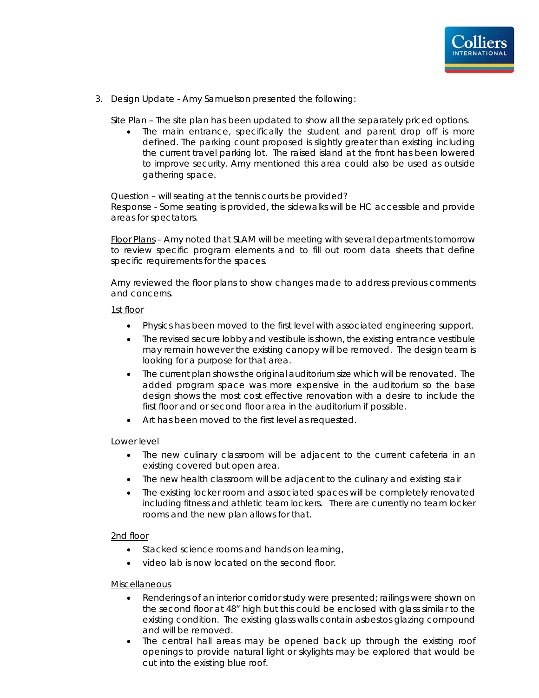

3. Design Update - Amy Samuelson presented the following:

Site Plan – The site plan has been updated to show all the separately priced options.

 The main entrance, specifically the student and parent drop off is more defined. The parking count proposed is slightly greater than existing including the current travel parking lot. The raised island at the front has been lowered to improve security. Amy mentioned this area could also be used as outside gathering space.

Question – will seating at the tennis courts be provided?

Response - Some seating is provided, the sidewalks will be HC accessible and provide areas for spectators.

Floor Plans – Amy noted that SLAM will be meeting with several departments tomorrow to review specific program elements and to fill out room data sheets that define specific requirements for the spaces.

Amy reviewed the floor plans to show changes made to address previous comments and concerns.

#### 1st floor

- Physics has been moved to the first level with associated engineering support.
- The revised secure lobby and vestibule is shown, the existing entrance vestibule may remain however the existing canopy will be removed. The design team is looking for a purpose for that area.
- The current plan shows the original auditorium size which will be renovated. The added program space was more expensive in the auditorium so the base design shows the most cost effective renovation with a desire to include the first floor and or second floor area in the auditorium if possible.
- Art has been moved to the first level as requested.

#### Lower level

- The new culinary classroom will be adjacent to the current cafeteria in an existing covered but open area.
- The new health classroom will be adjacent to the culinary and existing stair
- The existing locker room and associated spaces will be completely renovated including fitness and athletic team lockers. There are currently no team locker rooms and the new plan allows for that.

# 2nd floor

- Stacked science rooms and hands on learning,
- video lab is now located on the second floor.

# **Miscellaneous**

- Renderings of an interior corridor study were presented; railings were shown on the second floor at 48" high but this could be enclosed with glass similar to the existing condition. The existing glass walls contain asbestos glazing compound and will be removed.
- The central hall areas may be opened back up through the existing roof openings to provide natural light or skylights may be explored that would be cut into the existing blue roof.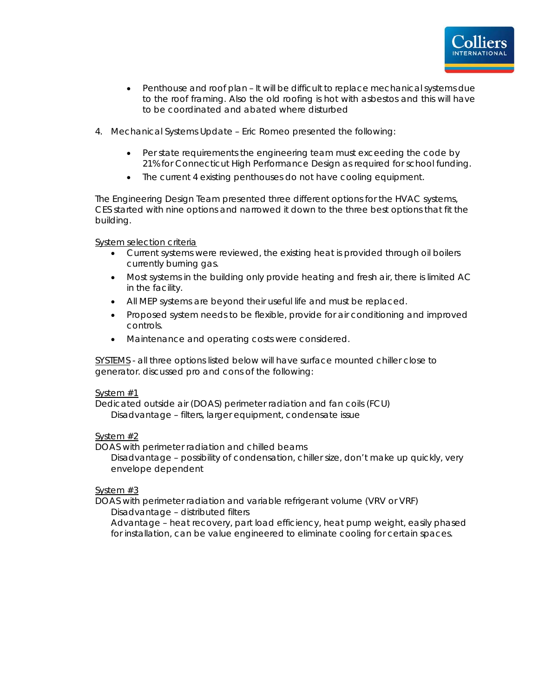

- Penthouse and roof plan It will be difficult to replace mechanical systems due to the roof framing. Also the old roofing is hot with asbestos and this will have to be coordinated and abated where disturbed
- 4. Mechanical Systems Update Eric Romeo presented the following:
	- Per state requirements the engineering team must exceeding the code by 21% for Connecticut High Performance Design as required for school funding.
	- The current 4 existing penthouses do not have cooling equipment.

The Engineering Design Team presented three different options for the HVAC systems, CES started with nine options and narrowed it down to the three best options that fit the building.

System selection criteria

- Current systems were reviewed, the existing heat is provided through oil boilers currently burning gas.
- Most systems in the building only provide heating and fresh air, there is limited AC in the facility.
- All MEP systems are beyond their useful life and must be replaced.
- Proposed system needs to be flexible, provide for air conditioning and improved controls.
- Maintenance and operating costs were considered.

SYSTEMS - all three options listed below will have surface mounted chiller close to generator. discussed pro and cons of the following:

# System #1

Dedicated outside air (DOAS) perimeter radiation and fan coils (FCU) Disadvantage – filters, larger equipment, condensate issue

# System #2

DOAS with perimeter radiation and chilled beams

Disadvantage – possibility of condensation, chiller size, don't make up quickly, very envelope dependent

# System #3

DOAS with perimeter radiation and variable refrigerant volume (VRV or VRF) Disadvantage – distributed filters

Advantage – heat recovery, part load efficiency, heat pump weight, easily phased for installation, can be value engineered to eliminate cooling for certain spaces.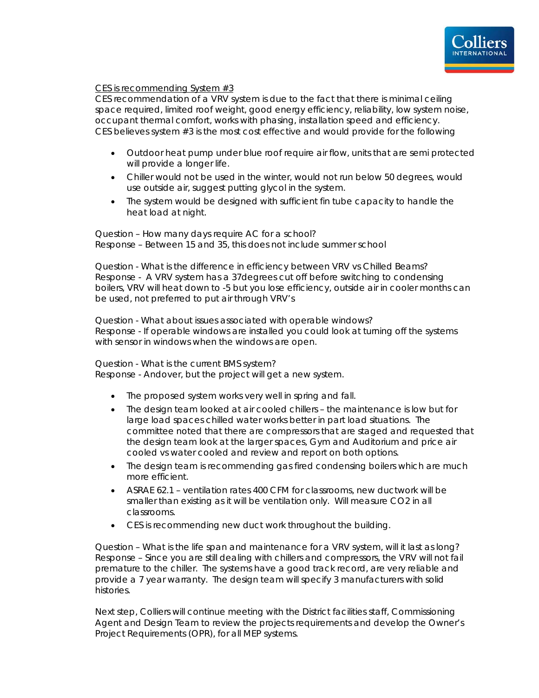

# CES is recommending System #3

CES recommendation of a VRV system is due to the fact that there is minimal ceiling space required, limited roof weight, good energy efficiency, reliability, low system noise, occupant thermal comfort, works with phasing, installation speed and efficiency. CES believes system #3 is the most cost effective and would provide for the following

- Outdoor heat pump under blue roof require air flow, units that are semi protected will provide a longer life.
- Chiller would not be used in the winter, would not run below 50 degrees, would use outside air, suggest putting glycol in the system.
- The system would be designed with sufficient fin tube capacity to handle the heat load at night.

Question – How many days require AC for a school? Response – Between 15 and 35, this does not include summer school

Question - What is the difference in efficiency between VRV vs Chilled Beams? Response - A VRV system has a 37degrees cut off before switching to condensing boilers, VRV will heat down to -5 but you lose efficiency, outside air in cooler months can be used, not preferred to put air through VRV's

Question - What about issues associated with operable windows? Response - If operable windows are installed you could look at turning off the systems with sensor in windows when the windows are open.

Question - What is the current BMS system? Response - Andover, but the project will get a new system.

- The proposed system works very well in spring and fall.
- The design team looked at air cooled chillers the maintenance is low but for large load spaces chilled water works better in part load situations. The committee noted that there are compressors that are staged and requested that the design team look at the larger spaces, Gym and Auditorium and price air cooled vs water cooled and review and report on both options.
- The design team is recommending gas fired condensing boilers which are much more efficient.
- ASRAE 62.1 ventilation rates 400 CFM for classrooms, new ductwork will be smaller than existing as it will be ventilation only. Will measure CO2 in all classrooms.
- CES is recommending new duct work throughout the building.

Question – What is the life span and maintenance for a VRV system, will it last as long? Response – Since you are still dealing with chillers and compressors, the VRV will not fail premature to the chiller. The systems have a good track record, are very reliable and provide a 7 year warranty. The design team will specify 3 manufacturers with solid histories.

Next step, Colliers will continue meeting with the District facilities staff, Commissioning Agent and Design Team to review the projects requirements and develop the Owner's Project Requirements (OPR), for all MEP systems.